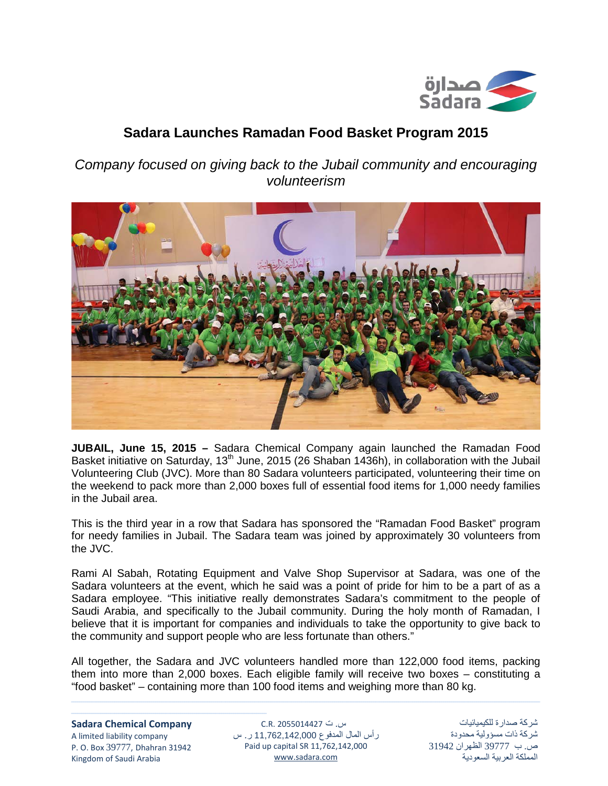

## **Sadara Launches Ramadan Food Basket Program 2015**

*Company focused on giving back to the Jubail community and encouraging volunteerism*



**JUBAIL, June 15, 2015 –** Sadara Chemical Company again launched the Ramadan Food Basket initiative on Saturday, 13<sup>th</sup> June, 2015 (26 Shaban 1436h), in collaboration with the Jubail Volunteering Club (JVC). More than 80 Sadara volunteers participated, volunteering their time on the weekend to pack more than 2,000 boxes full of essential food items for 1,000 needy families in the Jubail area.

This is the third year in a row that Sadara has sponsored the "Ramadan Food Basket" program for needy families in Jubail. The Sadara team was joined by approximately 30 volunteers from the JVC.

Rami Al Sabah, Rotating Equipment and Valve Shop Supervisor at Sadara, was one of the Sadara volunteers at the event, which he said was a point of pride for him to be a part of as a Sadara employee. "This initiative really demonstrates Sadara's commitment to the people of Saudi Arabia, and specifically to the Jubail community. During the holy month of Ramadan, I believe that it is important for companies and individuals to take the opportunity to give back to the community and support people who are less fortunate than others."

All together, the Sadara and JVC volunteers handled more than 122,000 food items, packing them into more than 2,000 boxes. Each eligible family will receive two boxes – constituting a "food basket" – containing more than 100 food items and weighing more than 80 kg.

<u> 1989 - Andrea Santa Andrea Andrea Andrea Andrea Andrea Andrea Andrea Andrea Andrea Andrea Andrea Andrea Andr</u>

## **Sadara Chemical Company**

ـــــــــــــــــــــــــــــــــــــــــــــــــــــــــــــــــــــــــــــــــــــــــــــــ

A limited liability company P. O. Box 39777, Dhahran 31942 Kingdom of Saudi Arabia

س. ت 2055014427 .R.C رأس المال المدفوع 11,762,142,000 ر. س Paid up capital SR 11,762,142,000 [www.sadara.com](http://www.sadara.com/)

شركة صدارة للكيميائيات شركة ذات مسؤولية محدودة ص. ب 39777 الظهران 31942 المملكة العربية السعودية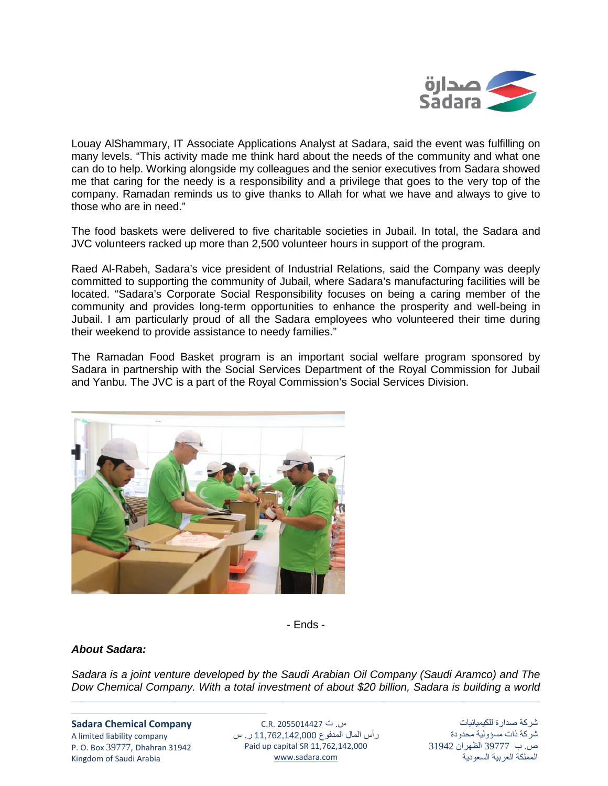

Louay AlShammary, IT Associate Applications Analyst at Sadara, said the event was fulfilling on many levels. "This activity made me think hard about the needs of the community and what one can do to help. Working alongside my colleagues and the senior executives from Sadara showed me that caring for the needy is a responsibility and a privilege that goes to the very top of the company. Ramadan reminds us to give thanks to Allah for what we have and always to give to those who are in need."

The food baskets were delivered to five charitable societies in Jubail. In total, the Sadara and JVC volunteers racked up more than 2,500 volunteer hours in support of the program.

Raed Al-Rabeh, Sadara's vice president of Industrial Relations, said the Company was deeply committed to supporting the community of Jubail, where Sadara's manufacturing facilities will be located. "Sadara's Corporate Social Responsibility focuses on being a caring member of the community and provides long-term opportunities to enhance the prosperity and well-being in Jubail. I am particularly proud of all the Sadara employees who volunteered their time during their weekend to provide assistance to needy families."

The Ramadan Food Basket program is an important social welfare program sponsored by Sadara in partnership with the Social Services Department of the Royal Commission for Jubail and Yanbu. The JVC is a part of the Royal Commission's Social Services Division.



- Ends -

## *About Sadara:*

*Sadara is a joint venture developed by the Saudi Arabian Oil Company (Saudi Aramco) and The Dow Chemical Company. With a total investment of about \$20 billion, Sadara is building a world* 

<u> 1989 - Andrea Santa Andrea Andrea Andrea Andrea Andrea Andrea Andrea Andrea Andrea Andrea Andrea Andrea Andr</u>

**Sadara Chemical Company** A limited liability company P. O. Box 39777, Dhahran 31942 Kingdom of Saudi Arabia

ـــــــــــــــــــــــــــــــــــــــــــــــــــــــــــــــــــــــــــــــــــــــــــــــ

س. ت 2055014427 .R.C رأس المال المدفوع 11,762,142,000 ر. س Paid up capital SR 11,762,142,000 [www.sadara.com](http://www.sadara.com/)

شركة صدارة للكيميائيات شركة ذات مسؤولية محدودة ص. ب 39777 الظهران 31942 المملكة العربية السعودية